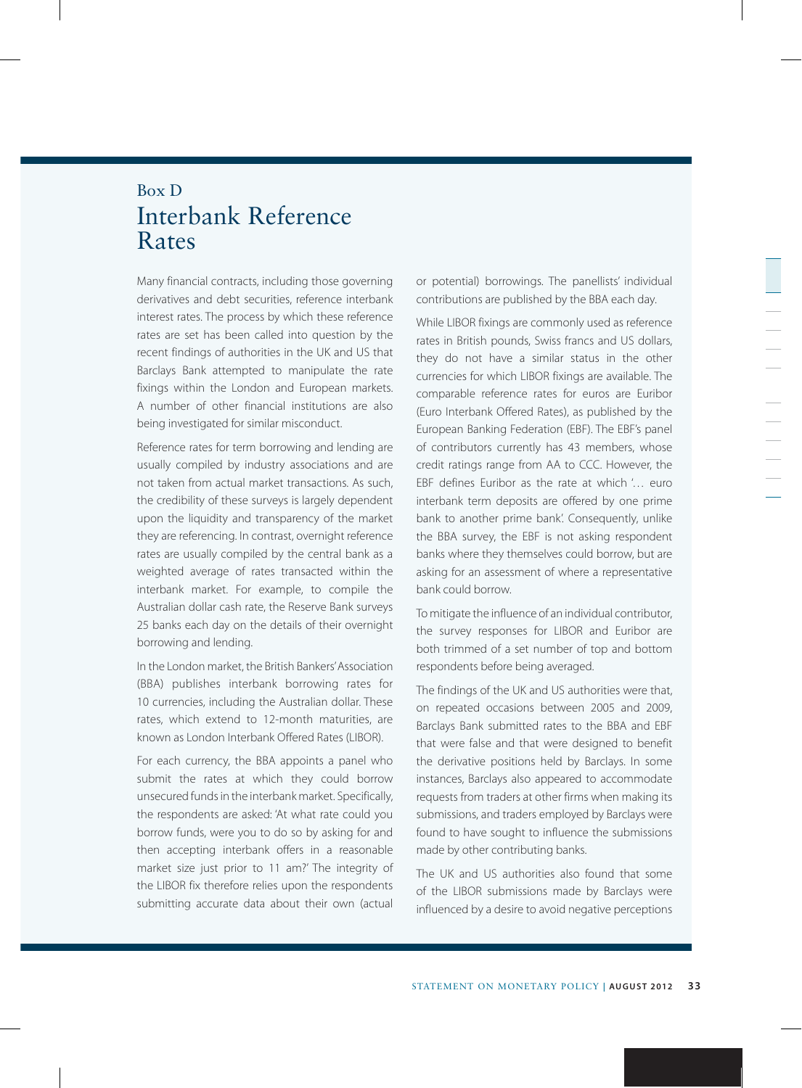## Box D Interbank Reference Rates

Many financial contracts, including those governing derivatives and debt securities, reference interbank interest rates. The process by which these reference rates are set has been called into question by the recent findings of authorities in the UK and US that Barclays Bank attempted to manipulate the rate fixings within the London and European markets. A number of other financial institutions are also being investigated for similar misconduct.

Reference rates for term borrowing and lending are usually compiled by industry associations and are not taken from actual market transactions. As such, the credibility of these surveys is largely dependent upon the liquidity and transparency of the market they are referencing. In contrast, overnight reference rates are usually compiled by the central bank as a weighted average of rates transacted within the interbank market. For example, to compile the Australian dollar cash rate, the Reserve Bank surveys 25 banks each day on the details of their overnight borrowing and lending.

In the London market, the British Bankers' Association (BBA) publishes interbank borrowing rates for 10 currencies, including the Australian dollar. These rates, which extend to 12-month maturities, are known as London Interbank Offered Rates (LIBOR).

For each currency, the BBA appoints a panel who submit the rates at which they could borrow unsecured funds in the interbank market. Specifically, the respondents are asked: 'At what rate could you borrow funds, were you to do so by asking for and then accepting interbank offers in a reasonable market size just prior to 11 am?' The integrity of the LIBOR fix therefore relies upon the respondents submitting accurate data about their own (actual or potential) borrowings. The panellists' individual contributions are published by the BBA each day.

While LIBOR fixings are commonly used as reference rates in British pounds, Swiss francs and US dollars, they do not have a similar status in the other currencies for which LIBOR fixings are available. The comparable reference rates for euros are Euribor (Euro Interbank Offered Rates), as published by the European Banking Federation (EBF). The EBF's panel of contributors currently has 43 members, whose credit ratings range from AA to CCC. However, the EBF defines Euribor as the rate at which '… euro interbank term deposits are offered by one prime bank to another prime bank'. Consequently, unlike the BBA survey, the EBF is not asking respondent banks where they themselves could borrow, but are asking for an assessment of where a representative bank could borrow.

To mitigate the influence of an individual contributor, the survey responses for LIBOR and Euribor are both trimmed of a set number of top and bottom respondents before being averaged.

The findings of the UK and US authorities were that, on repeated occasions between 2005 and 2009, Barclays Bank submitted rates to the BBA and EBF that were false and that were designed to benefit the derivative positions held by Barclays. In some instances, Barclays also appeared to accommodate requests from traders at other firms when making its submissions, and traders employed by Barclays were found to have sought to influence the submissions made by other contributing banks.

The UK and US authorities also found that some of the LIBOR submissions made by Barclays were influenced by a desire to avoid negative perceptions